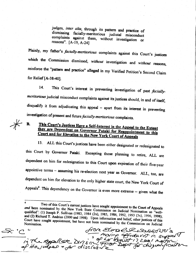judges, inter alia, through its pattern and practice of dismissing facially-meritorious judicial misconduct<br>complaints against them, without investigation or reasons". [A-19, A-241]

Plainly, my father's facially-meritorious complaints against this Court's justices which the Commission dismissed, without investigation and without reasons, reinforce the "pattern and practice" alleged in my Verified Petition's Second Claim for Relief [A-3840].

14. This Court's interest in preventing investigation of past faciallymeritorious judicial misconduct complaints against its justices should, in and of itself, disqualify it from adjudicating this appeal - apart from its interest in preventing investigation of present and future facially-meritorious complaints.

## This Court's Justices Have a Self-Interest in the Appeal to the Extent<br>they are Dependent on Covernor Betal: 6 they are Dependent on Governor Pataki for Reappointment to this<br>Court and for Elevation to the N<sub>12</sub> N<sub>12</sub> Co<sup>1</sup> Court and for Elevation to the N<sub>12</sub> N<sub>12</sub> Court **Court and for Elevation to the New York Court of Appeals**

 $\overline{\mathscr{K}}$ 

B.

15. ALL this Court's justices have been either designated or redesignated to this Court by Governor Pataki. Excepting those planning to retire, ALL are dependent on him for redesignation to this court upon expiration of their five-year appointive terms - assuming his re-election next year as Governor. ALL, too, are dependent on him for elevation to the only higher state court, the New York Court of Appeals<sup>6</sup>. This dependency on the Governor is even more extreme -- given what the

Two of this Court's current justices **Property** have sought appointment to the Court of Appeals and been nominated by the New York State Commission on Judicial Nomination as  $\frac{d^2w}{d^2}$  qualified": (1) Joseph P. Sullivan (1983, 1984 (2x), 1985, 1986, 1992, 1993 (3x), 1996, 1998); and (2) Richard T. Andrias (2000 qualified": (1) Joseph P. Sullivan (1983, 1984 (2x), 1985, 1986, 1992, 1993 (3x), 1996, 1998); Court have sought appointment, but have not been nominated by the Commission on Judicial<br>Nomination.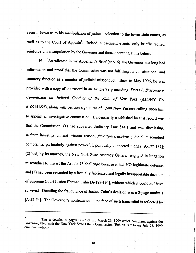record shows as to his manipulation of judicial selection to the lower state courts, as well as to the Court of Appeals<sup>7</sup>. Indeed, subsequent events, only briefly recited, reinforce this manipulation by the Governor and those operating at his behest.

16. As reflected in my Appellant's Brief (at p. 6), the Governor has long had information and proof that the Commission was not fulfilling its constitutional and statutory function as a monitor of judicial misconduct. Back in May 1996, he was provided with a copy of the record in an Article 78 proceeding, Doris L. Sassower v. Commission on Judicial Conduct of the State of New York (S.Ct/NY Co. #109141/95), along with petition signatures of 1,500 New Yorkers calling upon him to appoint an investigative commission. Evidentiarily established by that record was that the Commission: (1) had subverted Judiciary Law  $§44.1$  and was dismissing, without investigation and without reason, facially-meritorious judicial misconduct complaints, particularly against powerful, politically-connected judges [A-177-187]; (2) had, by its attorney, the New York State Attorney General, engaged in litigation misconduct to thwart the Article 78 challenge because it had NO legitimate defense; and (3) had been rewarded by a factually fabricated and legally insupportable decision of Supreme Court Justice Herman Cahn [A-189-194], without which it could not have survived. Detailing the fraudulence of Justice Cahn's decision was a 3-page analysis [A-52-54]. The Governor's nonfeasance in the face of such transmittal is reflected by

i

t Governor, fil This is detailed at pages 14-22 of my March 26, 1999 ethics complaint against the Governor, filed with the New York State Ethics Commission (Exhibit "E" to my July 28, 1999 omnibus motion).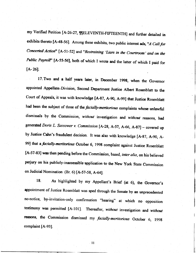my Verified Petition [A-26-27, ¶FELEVENTH-FIFTEENTH] and further detailed in exhibits thereto [A-48-56]. Among these exhibits, two public interest ads, "A Call for Coneerted Action" [A-51-52] and "Restraining 'Liars in the Courtroom' and on the Public Payroll" [A-55-56], both of which I wrote and the latter of which I paid for  $[A - 26]$ .

l7.Two and a half years later, in December 1998, when the Governor appointed Appellate: Division, Second Department Justice Albert Rosenblatt to the Court of Appeals, it was with knowledge [A-87, A-90, A-99] that Justice Rosenblatt had been the subject of three of the facially-meritorious complaints whose unlawful dismissals by the Commission, without investigation and without reasons, had generated Doris L. Sassower v. Commission [A-28, A-57, A-66, A-87] - covered up by Justice Cahn's fraudulent decision. It was also with knowledge [A-87, A-90, A-99] that a facially-meritorious October 6, 1998 complaint against Justice Rosenblatt [A-57-83] was then pending before the Commission, based, inter alia, on his believed perjury on his publicly-inaccessible application to the New York State Commission on Judicial Nomination (Br. 6) [4.-57-58, A-64].

18. As highlighted by my Appellant's Brief (at 6), the Governor's appointment of Justice Rosenblatt was sped through the Senate by an unprecedented no-notice, by-invitation-only confirmation "hearing" at which no opposition testimony was permitted [A-101]. Thereafter, without investigation and without reasons, the Commission dismissed my facially-meritorious October 6, 1998 complaint [A-93].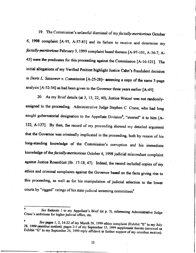19. The Commission's unlawful dismissal of my facially-meritorious October 6, 1998 complaint [A-93, 4-57-83] and its failure to receive and determine my facially-meritorious February 3, 1999 complaint based thereon [A-97-101, A-36-7, A-45] were the predicates for this proceeding against the Commission [A-16-121]. The initial allegations of my Verified Petition highlight Justice Cahn's fraudulent decision in Doris L. Sassower v. Commission  $[A-25-28]$ - annexing a copy of the same 3-page analysis [A-52-54] as had been given to the Governor three years earlier [A-49].

20. As my Brief details (at 3, 15, 22, 40), Justice Wetzel was not randomlyassigned to the proceeding. Administrative Judge Stephen C. Crane, who had long sought gubernatorial designation to the Appellate Division<sup>8</sup>, "steered" it to him [A-122, A-127]. By then, the record of my proceeding showed my detailed argument that the Governor was criminally implicated in the proceeding, both by reason of his long-standing knowledge of the Commission's corruption and his immediate knowledge of the facially-meritorious October 6, 1998 judicial misconduct complaint against Justice Rosenblatt (Br. 17-18, 47). Indeed, the record included copies of my ethics and criminal complaints against the Governor based on the facts giving rise to this proceeding, as well as for his manipulation of judicial selection to the lower courts by "rigged" ratings of his state judicial screening committees<sup>9</sup>.

 $t^8$  See footnote 1 to my Appellant's Brief (at p. 3), referencing Administrative Judge Crane's ambitions for higher judicial office, etc.

<sup>&</sup>lt;sup>9</sup> See pages 1, 2, 14-22 of my March 26, 1999 ethics complaint (Exhibit "E" to my July 28, 1999 omnibus motion); pages 2-3 of my September 15, 1999 supplement thereto (annexed as Exhibit "G" to my September 24, 1999 reply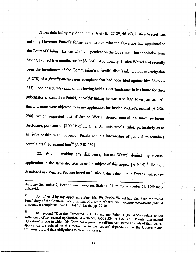21. As detailed by my Appellant's Brief (Br. 27-29, 46-49), Justice Wetzel was not only Governor Pafaki's former law partner, whg the Governor had appointed to the Court of Claims. He was wholly dependent on the Governor - his appointive term having expired five months earlier [A-264]. Additionally, Justice Wetzel had recently been the beneficiary of the Commission's unlawful dismissal, without investigation [A-278] of a *facially-meritorious* complaint that had been filed against him [A-266- $277$ ] - one based, inter alia, on his having held a 1994 fundraiser in his home for then gubernatorial candidate Pataki, notwithstanding he was a village town justice. All this and more were objected to in my application for Justice Wetzel's recusal [A-250-290], which requested that if Justice Wetzel denied recusal he make pertinent disclosure, pursuant to \$100.3F of the Chief Administrator's Rules, particularly as to his relationship with Governor Pataki and his knowledge of judicial misconduct complaints filed against him<sup>10</sup> [A-258-259].

22. Without making any disclosure, Justice Wetzel denied my recusal application in the same decision as is the subject of this appeal  $[A-9-14]$ <sup>11</sup>. He then dismissed my Verified Petition based on Justice Cahn's decision in *Doris L. Sassower* 

Also, my September 7, 1999 criminal complaint (Exhibit "H" to my September 24, 1999 reply affidavit).

<sup>10</sup> As reflected by my Appellant's Brief (fn. 29), Justice Wetzel had also been the recent beneficiary of the Commission's dismissal of a series of three other *facially-meritorious* judicial misconduct complaints. *See* 

11 My second "Question Presented" (Br. 1) and my Point II (Br. 42-52) relate to the sufficiency of my recusal application [A-250-293; A-308-334; A-336-342]. Plainly, this second "Question" is one in which this Court has a Commission, and their obligations to make disclosure. application are echoed on this motion as to the justices' dependency on the Governor and

13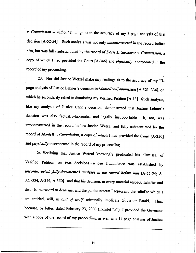$v.$  Commission  $-$  without findings as to the accuracy of my 3-page analysis of that decision [A-52-54]. Such analysis was not only *uncontroverted* in the record before him, but was fully substantiated by the record of Doris L. Sassower v. Commission, a copy of which I had provided the Court [A-346] and *physically* incorporated in the record of my proceeding.

23. Nor did Justice Wetzel make any findings as to the accuracy of my 13page analysis of Justice Lehner's decision in Mantell va Commission [A-321-334], on which he secondarily relied in dismissing my Verified Petition [A-13]. Such analysis, like my analysis of Justice Cahn's decision, demonstrated that Justice Lehner's decision was also factually-fabricated and legally insupportable. It, too, was uncontroverted in the record before Justice Wetzel and fully substantiated by the record of Mantell v. Commission, a copy of which I had provided the Court  $[A-350]$ and physically incorporated in the record of my proceeding.

24. Verifying that Justice Wetzel knowingly predicated his dismissal of Verified Petition on two decisions whose fraudulence was established by uncontroverted, fully-documented analyses in the record before him  $[A-52-54; A-$ 321-334, A-346, A-350]- and that his decision, in every material respect, falsifies and distorts the record to deny me, and the public interest I represent, the relief to which I am entitled, will, in and of itself, criminally implicate Governor Pataki. This, because, by letter, dated February 23, 2000 (Exhibit "F"), I provided the Governor with a copy of the record of my proceeding, as well as a l4-page analysis of Justice

l4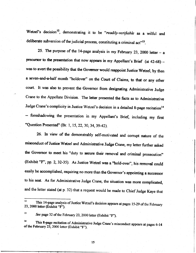Wetzel's decision<sup>12</sup>, demonstrating it to be "readily-verifiable as a wilful and deliberate subversion of the judicial process, constituting a criminal act"<sup>13</sup>.

25. The purpose of the 14-page analysis in my February 23, 2000 letter  $-$  a precursor to the presentation that now appears in my Appellant's Brief (at 42-68) was to avert the possibility that the Governor would reappoint Justice Wetzel, by then a seven-and-a-half month "holdover" on the Court of Claims, to that or any other court. It was also to prevent the Governor from designating Administrative Judge Crane to the Appellate Division. The letter presented the facts as to Administrative Judge Crane's complicity in Justice Wetzel's decision in a detailed 8-page recitation<sup>14</sup> -- foreshadowing the presentation in my Appellant's Brief, including my first "Question Presented" (Br. 1, 15, 22, 30, 34, 39-42).

26. In view of the demonstrably self-motivated and corrupt nature of the misconduct of Justice Wetzel and Administrative Judge Crane, my letter further asked the Governor to meet his "duty to secure their removal and criminal prosecution" (Exhibit "F", pp. 2, 32-35). As Justice Wetzel was a "hold-over", his removal could easily be accomplished, requiring no more than the Governor's appointing a sucoessor to his seat. As for Administrative Judge Crane, the situation was more complicated, and the letter stated (at p. 32) that a request would be made to Chief Judge Kaye that

l5

<sup>23, 2000</sup> letter (Exhibit "F"). This 14-page analysis of Justice Wetzel's decision appears at pages 15-29 of the February

<sup>&</sup>lt;sup>13</sup> See page 32 of the February 23, 2000 letter (Exhibit "F").

 $\frac{1}{4}$ <sup>14</sup> This 8-page recitation of Administrative Judge Crane's misconduct appears at pages 6-14 of the February 23, 2000 letter (Exhibit "F").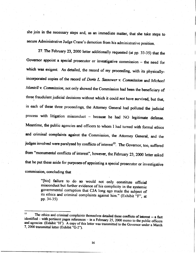she join in the necessary steps and, as an immediate matter, that she take steps to secure Administrative Judge Crane's demotion from his administrative position.

27. The February 23, 2000 letter additionally requested (at pp. 33-35) that the Governor appoint a special prosecutor or investigative commission  $-$  the need for which was exigent. As detailed, the record of my proceeding, with its physicallyincorporated copies of the record of Doris L. Sassower v. Commission and Michael Mantell v. Commission, not only showed the Commission had been the beneficiary of three fraudulent judicial decisions without which it could not have survived, but that, in each of these three proceedings, the Attomey General had polluted the judicial process with litigation misconduct - because he had NO legitimate defense. Meantime, the public agencies and officers to whom I had turned with formal ethics and criminal complaints against the Commission, the Attorney General, and the judges involved were paralyzed by conflicts of interest<sup>15</sup>. The Governor, too, suffered from "monumental conflicts of interest", however, the February 23, 2000 letter asked that he put these aside for purposes'of appointing a special prosecutor or investigative commission, concluding that

> "[his] failure to do so would not only constitute official misconduct but further evidence of his complicity in the systemic governmental corruption that CJA long ago made the subject of its ethics and criminal complaints pp. 3a-35)

<sup>&</sup>lt;sup>15</sup> The ethics and criminal complaints themselves detailed these conflicts of interest  $-$  a fact identified – with pertinent pages references – in a February 25, 2000 memo to the public officers and agencies (Exhibit "H"). A copy of this letter was transmitted to the Governor under a March 7, 2000 transmittal letter (Exhibit "G-2").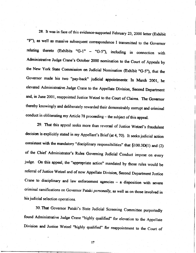28. It was in face of this evidence-supported February 23, 2000 letter (Exhibit "F"), as well as massive subsequent correspondence I transmitted to the Governor relating thereto (Exhibits "G-1" - "G-5"), including in connection with Administrative Judge Crane's October 2000 nomination to the Court of Appeals by the New York State Commission on Judicial Nomination (Exhibit "G-5"), that the Governor made his two "pay-back" judiciat appointnents: In March 2001, he elevated Administrative.Judge Crane to the Appellate Division, Second Departmant and, in June 2001, reappointed Justice Wetzel to the Court of Claims. The Governor thereby knowingly and deliberately rewarded their demonstrably corrupt and criminal conduct in obliterating my Article 78 proceeding - the subject of this appeal.

29. That this appeal seeks more than reversal of Justice Wetzel's fraudulent decision is explicitly stated in my Appellant's Brief (at 4, 70). It seeks judicial action consistent with the mandatory "disciplinary responsibilities" that \$100.3D(l) and (2) of the Chief Administator's Rules Governing Judicial Conduct impose on every judge. On this appeal, the "appropriate action" mandated by those rules would be referral of Justice wetzel and of now Appellate Division, Second Departnent Justice Crane to disciplinary and law enforcement agencies  $-$  a disposition with severe criminal ramifications on Governor Pataki personally, as well as on those involved in his judicial selection operations.

30. That Governor Pataki's State Judicial Screening Committee purportedly found Administrative Judge Crane "highly qualified" for elevation to the Appellate Division and Justice wetzel "highly qualified" for reappointment to the court of

17